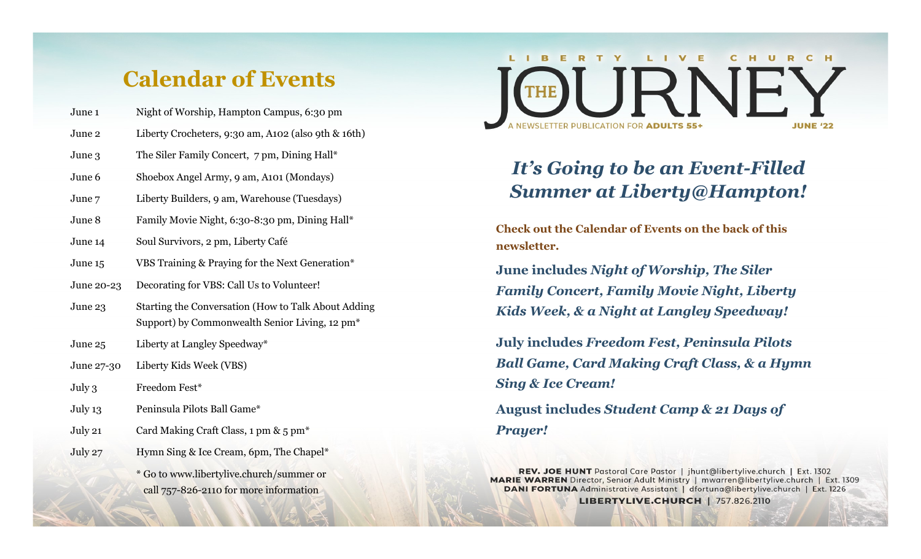# **Calendar of Events**

| June 1     | Night of Worship, Hampton Campus, 6:30 pm                                                                         |
|------------|-------------------------------------------------------------------------------------------------------------------|
| June 2     | Liberty Crocheters, 9:30 am, A102 (also 9th & 16th)                                                               |
| June 3     | The Siler Family Concert, 7 pm, Dining Hall*                                                                      |
| June 6     | Shoebox Angel Army, 9 am, A101 (Mondays)                                                                          |
| June 7     | Liberty Builders, 9 am, Warehouse (Tuesdays)                                                                      |
| June 8     | Family Movie Night, 6:30-8:30 pm, Dining Hall*                                                                    |
| June 14    | Soul Survivors, 2 pm, Liberty Café                                                                                |
| June 15    | VBS Training & Praying for the Next Generation*                                                                   |
| June 20-23 | Decorating for VBS: Call Us to Volunteer!                                                                         |
| June 23    | Starting the Conversation (How to Talk About Adding<br>Support) by Commonwealth Senior Living, 12 pm <sup>*</sup> |
| June 25    | Liberty at Langley Speedway*                                                                                      |
| June 27-30 | Liberty Kids Week (VBS)                                                                                           |
| July 3     | Freedom Fest*                                                                                                     |
| July 13    | Peninsula Pilots Ball Game*                                                                                       |
| July 21    | Card Making Craft Class, 1 pm & 5 pm <sup>*</sup>                                                                 |
| July 27    | Hymn Sing & Ice Cream, 6pm, The Chapel*                                                                           |
|            | * Go to www.libertylive.church/summer or<br>call 757-826-2110 for more information                                |
|            |                                                                                                                   |



### *It's Going to be an Event-Filled Summer at Liberty@Hampton!*

**Check out the Calendar of Events on the back of this newsletter.**

**June includes** *Night of Worship, The Siler Family Concert, Family Movie Night, Liberty Kids Week, & a Night at Langley Speedway!*

**July includes** *Freedom Fest, Peninsula Pilots Ball Game, Card Making Craft Class, & a Hymn Sing & Ice Cream!*

**August includes** *Student Camp & 21 Days of Prayer!*

REV. JOE HUNT Pastoral Care Pastor | jhunt@libertylive.church | Ext. 1302 MARIE WARREN Director, Senior Adult Ministry | mwarren@libertylive.church | Ext. 1309 DANI FORTUNA Administrative Assistant | dfortuna@libertylive.church | Ext. 1226

LIBERTYLIVE.CHURCH | 757.826.2110